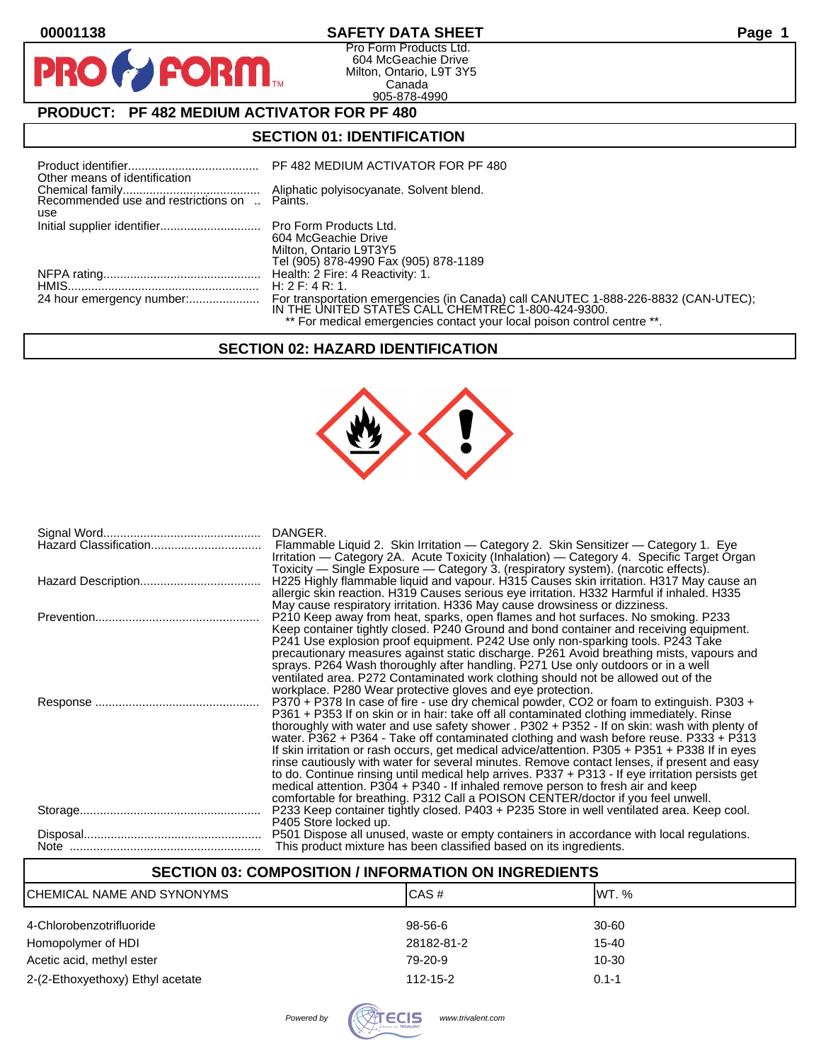$\bullet$ 

PR

# **00001138 SAFETY DATA SHEET Page 1**

Pro Form Products Ltd. 604 McGeachie Drive Milton, Ontario, L9T 3Y5 Canada 905-878-4990

# **PRODUCT: PF 482 MEDIUM ACTIVATOR FOR PF 480**

**FORM** 

# **SECTION 01: IDENTIFICATION**

| Other means of identification                       | PF 482 MEDIUM ACTIVATOR FOR PF 480                                                                                                       |
|-----------------------------------------------------|------------------------------------------------------------------------------------------------------------------------------------------|
| Recommended use and restrictions on  Paints.<br>use | Aliphatic polyisocyanate. Solvent blend.                                                                                                 |
|                                                     | 604 McGeachie Drive<br>Milton, Ontario L9T3Y5<br>Tel (905) 878-4990 Fax (905) 878-1189                                                   |
|                                                     |                                                                                                                                          |
|                                                     | H: 2F: 4R: 1                                                                                                                             |
|                                                     | For transportation emergencies (in Canada) call CANUTEC 1-888-226-8832 (CAN-UTEC);<br>IN THE UNITED STATES CALL CHEMTREC 1-800-424-9300. |
|                                                     | ** For medical emergencies contact your local poison control centre **.                                                                  |

# **SECTION 02: HAZARD IDENTIFICATION**



| DANGER.<br>Flammable Liquid 2. Skin Irritation — Category 2. Skin Sensitizer — Category 1. Eye<br>Irritation — Category 2A. Acute Toxicity (Inhalation) — Category 4. Specific Target Organ                                                                                                                                                                                                                                                                                                                                                                                                                                                                                                                                                                                                                                                              |
|----------------------------------------------------------------------------------------------------------------------------------------------------------------------------------------------------------------------------------------------------------------------------------------------------------------------------------------------------------------------------------------------------------------------------------------------------------------------------------------------------------------------------------------------------------------------------------------------------------------------------------------------------------------------------------------------------------------------------------------------------------------------------------------------------------------------------------------------------------|
| Toxicity — Single Exposure — Category 3. (respiratory system). (narcotic effects).<br>H225 Highly flammable liquid and vapour. H315 Causes skin irritation. H317 May cause an<br>allergic skin reaction. H319 Causes serious eye irritation. H332 Harmful if inhaled. H335<br>May cause respiratory irritation. H336 May cause drowsiness or dizziness.                                                                                                                                                                                                                                                                                                                                                                                                                                                                                                  |
| P210 Keep away from heat, sparks, open flames and hot surfaces. No smoking. P233<br>Keep container tightly closed. P240 Ground and bond container and receiving equipment.<br>P241 Use explosion proof equipment. P242 Use only non-sparking tools. P243 Take<br>precautionary measures against static discharge. P261 Avoid breathing mists, vapours and<br>sprays. P264 Wash thoroughly after handling. P271 Use only outdoors or in a well<br>ventilated area. P272 Contaminated work clothing should not be allowed out of the<br>workplace. P280 Wear protective gloves and eye protection.                                                                                                                                                                                                                                                         |
| P370 + P378 In case of fire - use dry chemical powder, CO2 or foam to extinguish. P303 +<br>P361 + P353 If on skin or in hair: take off all contaminated clothing immediately. Rinse<br>thoroughly with water and use safety shower . P302 + P352 - If on skin: wash with plenty of<br>water. P362 + P364 - Take off contaminated clothing and wash before reuse. P333 + P313<br>If skin irritation or rash occurs, get medical advice/attention. P305 + P351 + P338 If in eyes<br>rinse cautiously with water for several minutes. Remove contact lenses, if present and easy<br>to do. Continue rinsing until medical help arrives. P337 + P313 - If eye irritation persists get<br>medical attention. P304 + P340 - If inhaled remove person to fresh air and keep<br>comfortable for breathing. P312 Call a POISON CENTER/doctor if you feel unwell. |
| P233 Keep container tightly closed. P403 + P235 Store in well ventilated area. Keep cool.<br>P405 Store locked up.                                                                                                                                                                                                                                                                                                                                                                                                                                                                                                                                                                                                                                                                                                                                       |
| P501 Dispose all unused, waste or empty containers in accordance with local regulations.<br>This product mixture has been classified based on its ingredients.                                                                                                                                                                                                                                                                                                                                                                                                                                                                                                                                                                                                                                                                                           |

| <b>SECTION 03: COMPOSITION / INFORMATION ON INGREDIENTS</b> |                |           |  |
|-------------------------------------------------------------|----------------|-----------|--|
| CHEMICAL NAME AND SYNONYMS                                  | CAS#           | IWT. %    |  |
| 4-Chlorobenzotrifluoride                                    | $98 - 56 - 6$  | 30-60     |  |
| Homopolymer of HDI                                          | 28182-81-2     | 15-40     |  |
| Acetic acid, methyl ester                                   | 79-20-9        | 10-30     |  |
| 2-(2-Ethoxyethoxy) Ethyl acetate                            | $112 - 15 - 2$ | $0.1 - 1$ |  |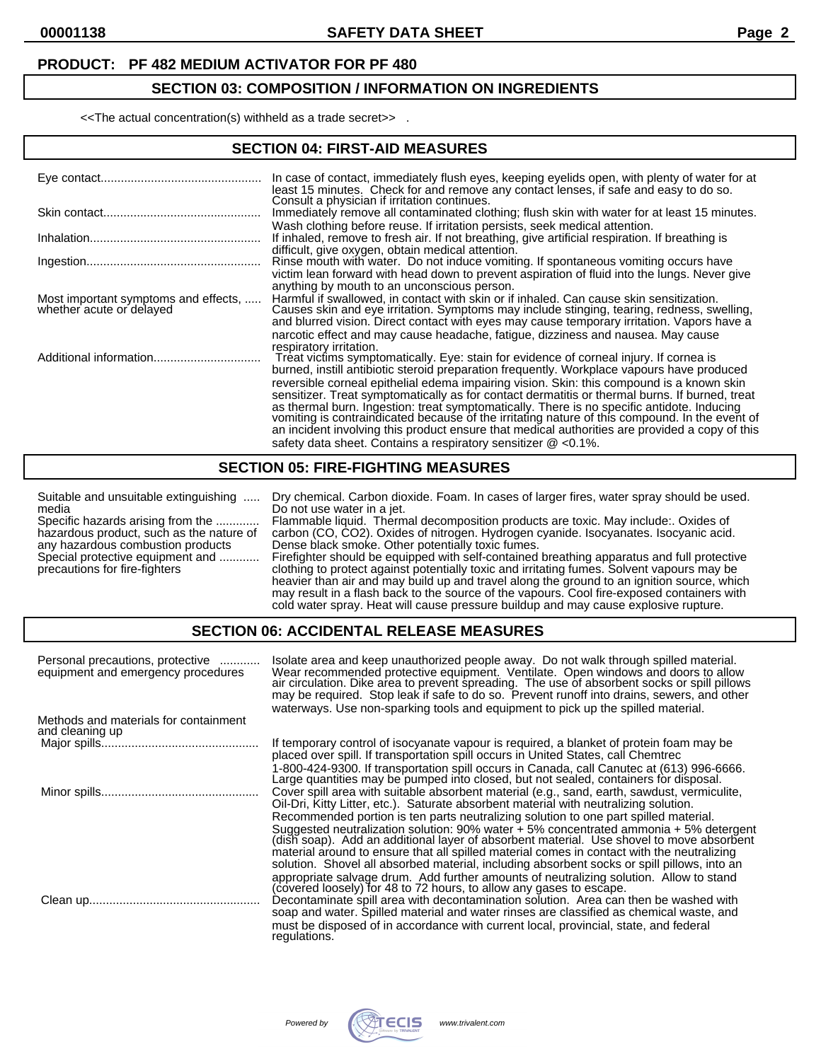# **PRODUCT: PF 482 MEDIUM ACTIVATOR FOR PF 480**

# **SECTION 03: COMPOSITION / INFORMATION ON INGREDIENTS**

<<The actual concentration(s) withheld as a trade secret>> .

#### **SECTION 04: FIRST-AID MEASURES**

|                                      | In case of contact, immediately flush eyes, keeping eyelids open, with plenty of water for at<br>least 15 minutes. Check for and remove any contact lenses, if safe and easy to do so.<br>Consult a physician if irritation continues.                                                    |
|--------------------------------------|-------------------------------------------------------------------------------------------------------------------------------------------------------------------------------------------------------------------------------------------------------------------------------------------|
|                                      | Immediately remove all contaminated clothing; flush skin with water for at least 15 minutes.                                                                                                                                                                                              |
|                                      | Wash clothing before reuse. If irritation persists, seek medical attention.<br>If inhaled, remove to fresh air. If not breathing, give artificial respiration. If breathing is<br>difficult, give oxygen, obtain medical attention.                                                       |
|                                      | Rinse mouth with water. Do not induce vomiting. If spontaneous vomiting occurs have                                                                                                                                                                                                       |
| Most important symptoms and effects, | victim lean forward with head down to prevent aspiration of fluid into the lungs. Never give<br>anything by mouth to an unconscious person.<br>Harmful if swallowed, in contact with skin or if inhaled. Can cause skin sensitization.                                                    |
| whether acute or delayed             | Causes skin and eye irritation. Symptoms may include stinging, tearing, redness, swelling,<br>and blurred vision. Direct contact with eyes may cause temporary irritation. Vapors have a                                                                                                  |
|                                      | narcotic effect and may cause headache, fatigue, dizziness and nausea. May cause<br>respiratory irritation.                                                                                                                                                                               |
|                                      | Treat victims symptomatically. Eye: stain for evidence of corneal injury. If cornea is<br>burned, instill antibiotic steroid preparation frequently. Workplace vapours have produced                                                                                                      |
|                                      | reversible corneal epithelial edema impairing vision. Skin: this compound is a known skin<br>sensitizer. Treat symptomatically as for contact dermatitis or thermal burns. If burned, treat<br>as thermal burn. Ingestion: treat symptomatically. There is no specific antidote. Inducing |
|                                      | vomiting is contraindicated because of the irritating nature of this compound. In the event of<br>an incident involving this product ensure that medical authorities are provided a copy of this<br>safety data sheet. Contains a respiratory sensitizer $\omega$ <0.1%.                  |

### **SECTION 05: FIRE-FIGHTING MEASURES**

Suitable and unsuitable extinguishing ..... Dry chemical. Carbon dioxide. Foam. In cases of larger fires, water spray should be used. media Do not use water in a jet.<br>Specific hazards arising from the ............ Flammable liquid. Therm Specific hazards arising from the ............. Flammable liquid. Thermal decomposition products are toxic. May include:. Oxides of hazardous product, such as the nature of carbon (CO, CO2). Oxides of nitrogen. Hydrogen cyanide. Isocyanates. Isocyanic acid. any hazardous combustion products Dense black smoke. Other potentially toxic fumes. Special protective equipment and ............ Firefighter should be equipped with self-contained breathing apparatus and full protective precautions for fire-fighters clothing to protect against potentially toxic and irritating fumes. Solvent vapours may be heavier than air and may build up and travel along the ground to an ignition source, which may result in a flash back to the source of the vapours. Cool fire-exposed containers with

cold water spray. Heat will cause pressure buildup and may cause explosive rupture.

#### **SECTION 06: ACCIDENTAL RELEASE MEASURES**

| Personal precautions, protective<br>equipment and emergency procedures | Isolate area and keep unauthorized people away. Do not walk through spilled material.<br>Wear recommended protective equipment. Ventilate. Open windows and doors to allow<br>air circulation. Dike area to prevent spreading. The use of absorbent socks or spill pillows<br>may be required. Stop leak if safe to do so. Prevent runoff into drains, sewers, and other<br>waterways. Use non-sparking tools and equipment to pick up the spilled material.           |
|------------------------------------------------------------------------|------------------------------------------------------------------------------------------------------------------------------------------------------------------------------------------------------------------------------------------------------------------------------------------------------------------------------------------------------------------------------------------------------------------------------------------------------------------------|
| Methods and materials for containment<br>and cleaning up               |                                                                                                                                                                                                                                                                                                                                                                                                                                                                        |
|                                                                        | If temporary control of isocyanate vapour is required, a blanket of protein foam may be<br>placed over spill. If transportation spill occurs in United States, call Chemtrec                                                                                                                                                                                                                                                                                           |
|                                                                        | 1-800-424-9300. If transportation spill occurs in Canada, call Canutec at (613) 996-6666.<br>Large quantities may be pumped into closed, but not sealed, containers for disposal.<br>Cover spill area with suitable absorbent material (e.g., sand, earth, sawdust, vermiculite,<br>Oil-Dri, Kitty Litter, etc.). Saturate absorbent material with neutralizing solution.                                                                                              |
|                                                                        | Recommended portion is ten parts neutralizing solution to one part spilled material.<br>Suggested neutralization solution: 90% water + 5% concentrated ammonia + 5% detergent<br>(dish soap). Add an additional layer of absorbent material. Use shovel to move absorbent<br>material around to ensure that all spilled material comes in contact with the neutralizing<br>solution. Shovel all absorbed material, including absorbent socks or spill pillows, into an |
|                                                                        | appropriate salvage drum. Add further amounts of neutralizing solution. Allow to stand<br>(covered loosely) for 48 to 72 hours, to allow any gases to escape.<br>Decontaminate spill area with decontamination solution. Area can then be washed with<br>soap and water. Spilled material and water rinses are classified as chemical waste, and<br>must be disposed of in accordance with current local, provincial, state, and federal<br>regulations.               |

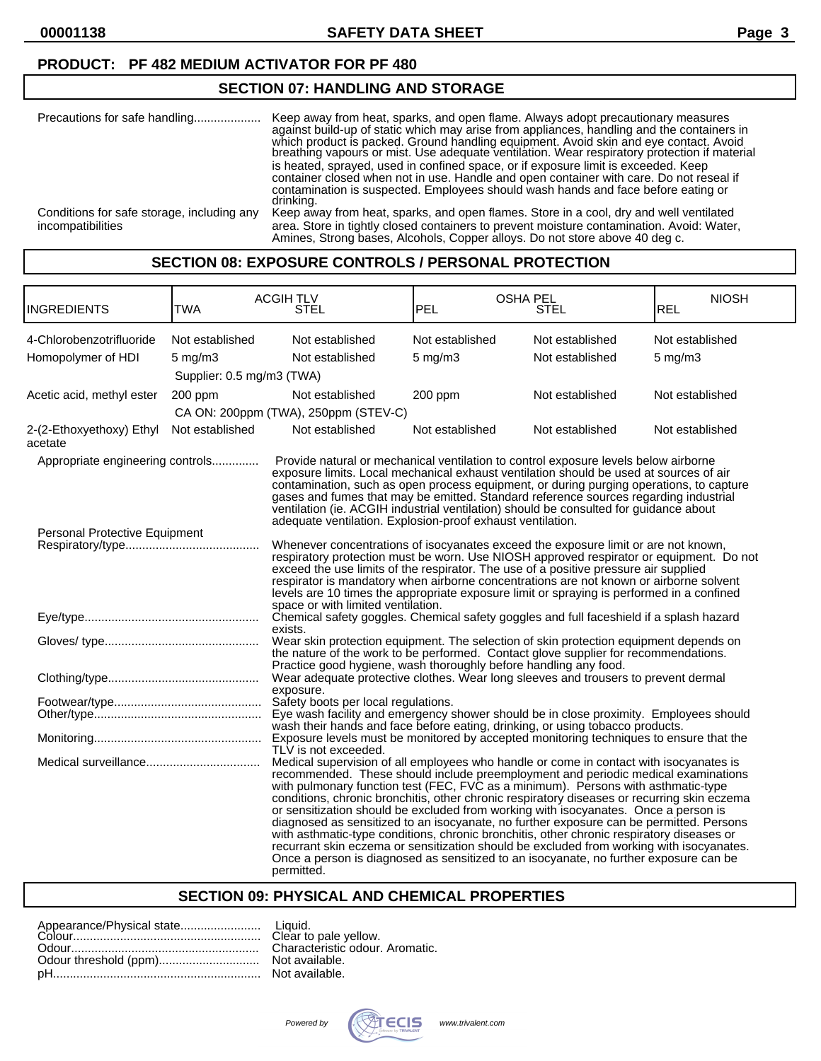**00001138 SAFETY DATA SHEET Page 3**

### **PRODUCT: PF 482 MEDIUM ACTIVATOR FOR PF 480**

# **SECTION 07: HANDLING AND STORAGE**

| Precautions for safe handling              | Keep away from heat, sparks, and open flame. Always adopt precautionary measures<br>against build-up of static which may arise from appliances, handling and the containers in<br>which product is packed. Ground handling equipment. Avoid skin and eye contact. Avoid<br>breathing vapours or mist. Use adequate ventilation. Wear respiratory protection if material<br>is heated, sprayed, used in confined space, or if exposure limit is exceeded. Keep<br>container closed when not in use. Handle and open container with care. Do not reseal if<br>contamination is suspected. Employees should wash hands and face before eating or<br>drinking. |
|--------------------------------------------|------------------------------------------------------------------------------------------------------------------------------------------------------------------------------------------------------------------------------------------------------------------------------------------------------------------------------------------------------------------------------------------------------------------------------------------------------------------------------------------------------------------------------------------------------------------------------------------------------------------------------------------------------------|
| Conditions for safe storage, including any | Keep away from heat, sparks, and open flames. Store in a cool, dry and well ventilated                                                                                                                                                                                                                                                                                                                                                                                                                                                                                                                                                                     |
| incompatibilities                          | area. Store in tightly closed containers to prevent moisture contamination. Avoid: Water,<br>Amines, Strong bases, Alcohols, Copper alloys. Do not store above 40 deg c.                                                                                                                                                                                                                                                                                                                                                                                                                                                                                   |

## **SECTION 08: EXPOSURE CONTROLS / PERSONAL PROTECTION**

| INGREDIENTS                                    | TWA                                                              | <b>ACGIH TLV</b><br>STEL                                                                                                                                                                                                                                                                                                                                                                                                                                                                                                                                                                                                                                                                                                                                                                                                                          | <b>OSHA PEL</b><br>PEL          | STEL                               | <b>NIOSH</b><br><b>REL</b>      |
|------------------------------------------------|------------------------------------------------------------------|---------------------------------------------------------------------------------------------------------------------------------------------------------------------------------------------------------------------------------------------------------------------------------------------------------------------------------------------------------------------------------------------------------------------------------------------------------------------------------------------------------------------------------------------------------------------------------------------------------------------------------------------------------------------------------------------------------------------------------------------------------------------------------------------------------------------------------------------------|---------------------------------|------------------------------------|---------------------------------|
| 4-Chlorobenzotrifluoride<br>Homopolymer of HDI | Not established<br>$5 \text{ mg/m}$<br>Supplier: 0.5 mg/m3 (TWA) | Not established<br>Not established                                                                                                                                                                                                                                                                                                                                                                                                                                                                                                                                                                                                                                                                                                                                                                                                                | Not established<br>$5$ mg/m $3$ | Not established<br>Not established | Not established<br>$5$ mg/m $3$ |
| Acetic acid, methyl ester                      | 200 ppm                                                          | Not established<br>CA ON: 200ppm (TWA), 250ppm (STEV-C)                                                                                                                                                                                                                                                                                                                                                                                                                                                                                                                                                                                                                                                                                                                                                                                           | 200 ppm                         | Not established                    | Not established                 |
| 2-(2-Ethoxyethoxy) Ethyl<br>acetate            | Not established                                                  | Not established                                                                                                                                                                                                                                                                                                                                                                                                                                                                                                                                                                                                                                                                                                                                                                                                                                   | Not established                 | Not established                    | Not established                 |
| Appropriate engineering controls               |                                                                  | Provide natural or mechanical ventilation to control exposure levels below airborne<br>exposure limits. Local mechanical exhaust ventilation should be used at sources of air<br>contamination, such as open process equipment, or during purging operations, to capture<br>gases and fumes that may be emitted. Standard reference sources regarding industrial<br>ventilation (ie. ACGIH industrial ventilation) should be consulted for guidance about<br>adequate ventilation. Explosion-proof exhaust ventilation.                                                                                                                                                                                                                                                                                                                           |                                 |                                    |                                 |
| Personal Protective Equipment                  |                                                                  | Whenever concentrations of isocyanates exceed the exposure limit or are not known,<br>respiratory protection must be worn. Use NIOSH approved respirator or equipment. Do not<br>exceed the use limits of the respirator. The use of a positive pressure air supplied<br>respirator is mandatory when airborne concentrations are not known or airborne solvent<br>levels are 10 times the appropriate exposure limit or spraying is performed in a confined<br>space or with limited ventilation.                                                                                                                                                                                                                                                                                                                                                |                                 |                                    |                                 |
|                                                |                                                                  | Chemical safety goggles. Chemical safety goggles and full faceshield if a splash hazard<br>exists.                                                                                                                                                                                                                                                                                                                                                                                                                                                                                                                                                                                                                                                                                                                                                |                                 |                                    |                                 |
|                                                |                                                                  | Wear skin protection equipment. The selection of skin protection equipment depends on<br>the nature of the work to be performed. Contact glove supplier for recommendations.<br>Practice good hygiene, wash thoroughly before handling any food.                                                                                                                                                                                                                                                                                                                                                                                                                                                                                                                                                                                                  |                                 |                                    |                                 |
|                                                |                                                                  | Wear adequate protective clothes. Wear long sleeves and trousers to prevent dermal<br>exposure.                                                                                                                                                                                                                                                                                                                                                                                                                                                                                                                                                                                                                                                                                                                                                   |                                 |                                    |                                 |
|                                                |                                                                  | Safety boots per local regulations.<br>Eye wash facility and emergency shower should be in close proximity. Employees should<br>wash their hands and face before eating, drinking, or using tobacco products.<br>Exposure levels must be monitored by accepted monitoring techniques to ensure that the<br>TLV is not exceeded.                                                                                                                                                                                                                                                                                                                                                                                                                                                                                                                   |                                 |                                    |                                 |
|                                                |                                                                  | Medical supervision of all employees who handle or come in contact with isocyanates is<br>recommended. These should include preemployment and periodic medical examinations<br>with pulmonary function test (FEC, FVC as a minimum). Persons with asthmatic-type<br>conditions, chronic bronchitis, other chronic respiratory diseases or recurring skin eczema<br>or sensitization should be excluded from working with isocyanates. Once a person is<br>diagnosed as sensitized to an isocyanate, no further exposure can be permitted. Persons<br>with asthmatic-type conditions, chronic bronchitis, other chronic respiratory diseases or<br>recurrant skin eczema or sensitization should be excluded from working with isocyanates.<br>Once a person is diagnosed as sensitized to an isocyanate, no further exposure can be<br>permitted. |                                 |                                    |                                 |

### **SECTION 09: PHYSICAL AND CHEMICAL PROPERTIES**

quid.<br>.ar to pale yellow. aracteristic odour. Aromatic. available. available.

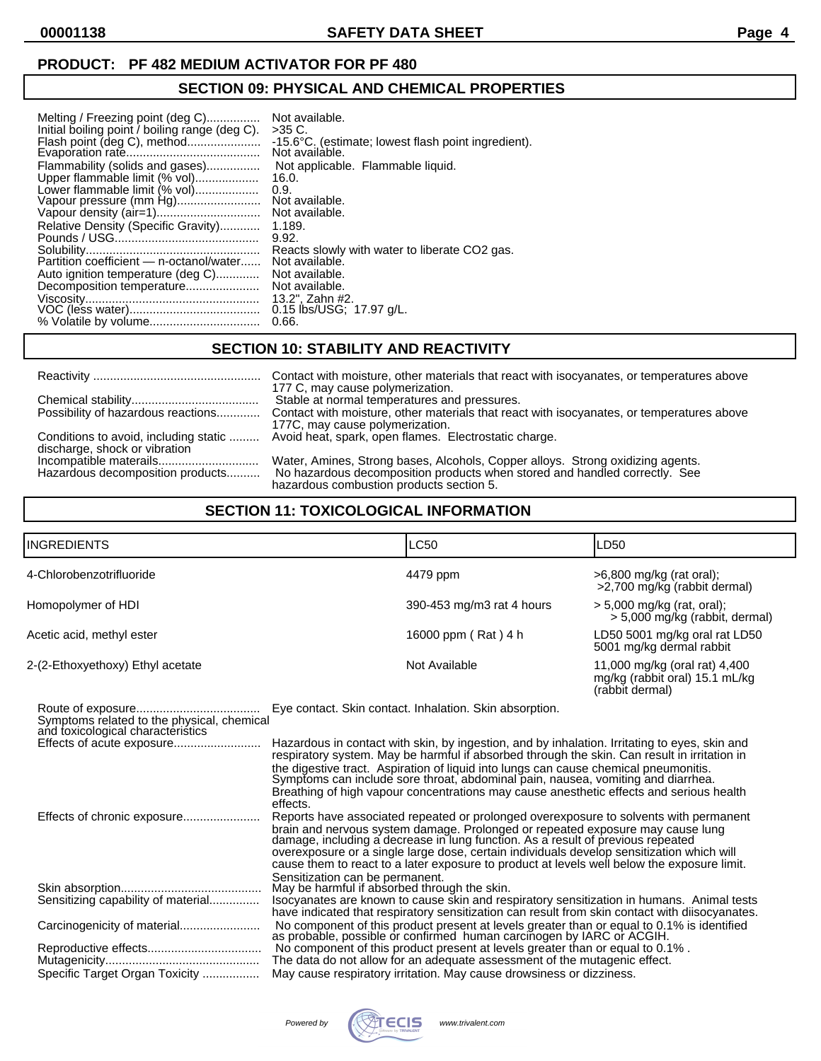# **SECTION 09: PHYSICAL AND CHEMICAL PROPERTIES**

| Melting / Freezing point (deg C)               | Not available.                                                           |
|------------------------------------------------|--------------------------------------------------------------------------|
| Initial boiling point / boiling range (deg C). | $>35$ C.                                                                 |
|                                                | -15.6°C. (estimate; lowest flash point ingredient).                      |
|                                                | Not available.                                                           |
| Flammability (solids and gases)                | Not applicable. Flammable liquid.                                        |
| Upper flammable limit (% vol)                  | 16.0.                                                                    |
| Lower flammable limit (% vol)                  | 0.9.                                                                     |
| Vapour pressure (mm Hg)                        | Not available.                                                           |
|                                                | Not available.                                                           |
| Relative Density (Specific Gravity)            | 1.189.                                                                   |
|                                                | 9.92.<br>Reacts slowly with water to liberate CO2 gas.<br>Not available. |
| Auto ignition temperature (deg C)              | Not available.                                                           |
| Decomposition temperature                      | Not available.                                                           |
|                                                | 13.2". Zahn #2.                                                          |
|                                                | 0.15 lbs/USG; 17.97 g/L.                                                 |
|                                                | 0.66.                                                                    |

# **SECTION 10: STABILITY AND REACTIVITY**

|                                    | Contact with moisture, other materials that react with isocyanates, or temperatures above                                                                                                                        |
|------------------------------------|------------------------------------------------------------------------------------------------------------------------------------------------------------------------------------------------------------------|
| Possibility of hazardous reactions | 177 C, may cause polymerization.<br>Stable at normal temperatures and pressures.<br>Contact with moisture, other materials that react with isocyanates, or temperatures above<br>177C, may cause polymerization. |
|                                    | Conditions to avoid, including static  Avoid heat, spark, open flames. Electrostatic charge.                                                                                                                     |
| Hazardous decomposition products   | Water, Amines, Strong bases, Alcohols, Copper alloys. Strong oxidizing agents.<br>No hazardous decomposition products when stored and handled correctly. See<br>hazardous combustion products section 5.         |
| discharge, shock or vibration      |                                                                                                                                                                                                                  |

# **SECTION 11: TOXICOLOGICAL INFORMATION**

| <b>INGREDIENTS</b>               | LC50                      | LD50                                                                               |
|----------------------------------|---------------------------|------------------------------------------------------------------------------------|
| 4-Chlorobenzotrifluoride         | 4479 ppm                  | >6,800 mg/kg (rat oral);<br>>2,700 mg/kg (rabbit dermal)                           |
| Homopolymer of HDI               | 390-453 mg/m3 rat 4 hours | $> 5,000$ mg/kg (rat, oral);<br>> 5,000 mg/kg (rabbit, dermal)                     |
| Acetic acid, methyl ester        | 16000 ppm (Rat) 4 h       | LD50 5001 mg/kg oral rat LD50<br>5001 mg/kg dermal rabbit                          |
| 2-(2-Ethoxyethoxy) Ethyl acetate | Not Available             | 11,000 mg/kg (oral rat) 4,400<br>mg/kg (rabbit oral) 15.1 mL/kg<br>(rabbit dermal) |

| Symptoms related to the physical, chemical<br>and toxicological characteristics | Eye contact. Skin contact. Inhalation. Skin absorption.                                                                                                                                                                                                                                                                                                                                                                                                                          |
|---------------------------------------------------------------------------------|----------------------------------------------------------------------------------------------------------------------------------------------------------------------------------------------------------------------------------------------------------------------------------------------------------------------------------------------------------------------------------------------------------------------------------------------------------------------------------|
| Effects of acute exposure                                                       | Hazardous in contact with skin, by ingestion, and by inhalation. Irritating to eyes, skin and<br>respiratory system. May be harmful if absorbed through the skin. Can result in irritation in<br>the digestive tract. Aspiration of liquid into lungs can cause chemical pneumonitis.<br>Symptoms can include sore throat, abdominal pain, nausea, vomiting and diarrhea.<br>Breathing of high vapour concentrations may cause anesthetic effects and serious health<br>effects. |
| Effects of chronic exposure                                                     | Reports have associated repeated or prolonged overexposure to solvents with permanent<br>brain and nervous system damage. Prolonged or repeated exposure may cause lung<br>damage, including a decrease in lung function. As a result of previous repeated<br>overexposure or a single large dose, certain individuals develop sensitization which will<br>cause them to react to a later exposure to product at levels well below the exposure limit.                           |
| Sensitizing capability of material                                              | Sensitization can be permanent.<br>May be harmful if absorbed through the skin.<br>Isocyanates are known to cause skin and respiratory sensitization in humans. Animal tests<br>have indicated that respiratory sensitization can result from skin contact with diisocyanates.                                                                                                                                                                                                   |
|                                                                                 | No component of this product present at levels greater than or equal to 0.1% is identified as probable, possible or confirmed human carcinogen by IARC or ACGIH.                                                                                                                                                                                                                                                                                                                 |
| Specific Target Organ Toxicity                                                  | No component of this product present at levels greater than or equal to 0.1%.<br>The data do not allow for an adequate assessment of the mutagenic effect.<br>May cause respiratory irritation. May cause drowsiness or dizziness.                                                                                                                                                                                                                                               |
|                                                                                 |                                                                                                                                                                                                                                                                                                                                                                                                                                                                                  |